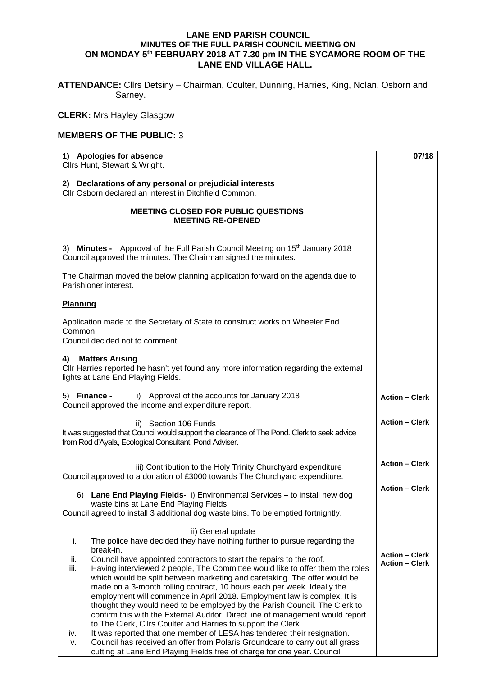## **LANE END PARISH COUNCIL MINUTES OF THE FULL PARISH COUNCIL MEETING ON ON MONDAY 5th FEBRUARY 2018 AT 7.30 pm IN THE SYCAMORE ROOM OF THE LANE END VILLAGE HALL.**

**ATTENDANCE:** Cllrs Detsiny – Chairman, Coulter, Dunning, Harries, King, Nolan, Osborn and Sarney.

**CLERK:** Mrs Hayley Glasgow

## **MEMBERS OF THE PUBLIC:** 3

| 1) Apologies for absence<br>Cllrs Hunt, Stewart & Wright.                                                                                                                                                                                                                                                                                                                                                                                                                                                                                                                                                                                                                                                                                                                                                         | 07/18                                          |
|-------------------------------------------------------------------------------------------------------------------------------------------------------------------------------------------------------------------------------------------------------------------------------------------------------------------------------------------------------------------------------------------------------------------------------------------------------------------------------------------------------------------------------------------------------------------------------------------------------------------------------------------------------------------------------------------------------------------------------------------------------------------------------------------------------------------|------------------------------------------------|
| 2) Declarations of any personal or prejudicial interests<br>Cllr Osborn declared an interest in Ditchfield Common.                                                                                                                                                                                                                                                                                                                                                                                                                                                                                                                                                                                                                                                                                                |                                                |
| <b>MEETING CLOSED FOR PUBLIC QUESTIONS</b><br><b>MEETING RE-OPENED</b>                                                                                                                                                                                                                                                                                                                                                                                                                                                                                                                                                                                                                                                                                                                                            |                                                |
| 3) Minutes - Approval of the Full Parish Council Meeting on 15th January 2018<br>Council approved the minutes. The Chairman signed the minutes.                                                                                                                                                                                                                                                                                                                                                                                                                                                                                                                                                                                                                                                                   |                                                |
| The Chairman moved the below planning application forward on the agenda due to<br>Parishioner interest.                                                                                                                                                                                                                                                                                                                                                                                                                                                                                                                                                                                                                                                                                                           |                                                |
| <b>Planning</b>                                                                                                                                                                                                                                                                                                                                                                                                                                                                                                                                                                                                                                                                                                                                                                                                   |                                                |
| Application made to the Secretary of State to construct works on Wheeler End<br>Common.<br>Council decided not to comment.                                                                                                                                                                                                                                                                                                                                                                                                                                                                                                                                                                                                                                                                                        |                                                |
| <b>Matters Arising</b><br>4)<br>CIIr Harries reported he hasn't yet found any more information regarding the external<br>lights at Lane End Playing Fields.                                                                                                                                                                                                                                                                                                                                                                                                                                                                                                                                                                                                                                                       |                                                |
| i) Approval of the accounts for January 2018<br>5) Finance -<br>Council approved the income and expenditure report.                                                                                                                                                                                                                                                                                                                                                                                                                                                                                                                                                                                                                                                                                               | <b>Action - Clerk</b>                          |
| ii) Section 106 Funds<br>It was suggested that Council would support the clearance of The Pond. Clerk to seek advice<br>from Rod d'Ayala, Ecological Consultant, Pond Adviser.                                                                                                                                                                                                                                                                                                                                                                                                                                                                                                                                                                                                                                    | <b>Action - Clerk</b>                          |
| iii) Contribution to the Holy Trinity Churchyard expenditure<br>Council approved to a donation of £3000 towards The Churchyard expenditure.                                                                                                                                                                                                                                                                                                                                                                                                                                                                                                                                                                                                                                                                       | <b>Action - Clerk</b>                          |
| 6) Lane End Playing Fields- i) Environmental Services - to install new dog<br>waste bins at Lane End Playing Fields<br>Council agreed to install 3 additional dog waste bins. To be emptied fortnightly.                                                                                                                                                                                                                                                                                                                                                                                                                                                                                                                                                                                                          | <b>Action - Clerk</b>                          |
| ii) General update<br>The police have decided they have nothing further to pursue regarding the<br>j.<br>break-in.                                                                                                                                                                                                                                                                                                                                                                                                                                                                                                                                                                                                                                                                                                |                                                |
| Council have appointed contractors to start the repairs to the roof.<br>ii.<br>iii.<br>Having interviewed 2 people, The Committee would like to offer them the roles<br>which would be split between marketing and caretaking. The offer would be<br>made on a 3-month rolling contract, 10 hours each per week. Ideally the<br>employment will commence in April 2018. Employment law is complex. It is<br>thought they would need to be employed by the Parish Council. The Clerk to<br>confirm this with the External Auditor. Direct line of management would report<br>to The Clerk, Cllrs Coulter and Harries to support the Clerk.<br>It was reported that one member of LESA has tendered their resignation.<br>iv.<br>Council has received an offer from Polaris Groundcare to carry out all grass<br>ν. | <b>Action - Clerk</b><br><b>Action - Clerk</b> |
| cutting at Lane End Playing Fields free of charge for one year. Council                                                                                                                                                                                                                                                                                                                                                                                                                                                                                                                                                                                                                                                                                                                                           |                                                |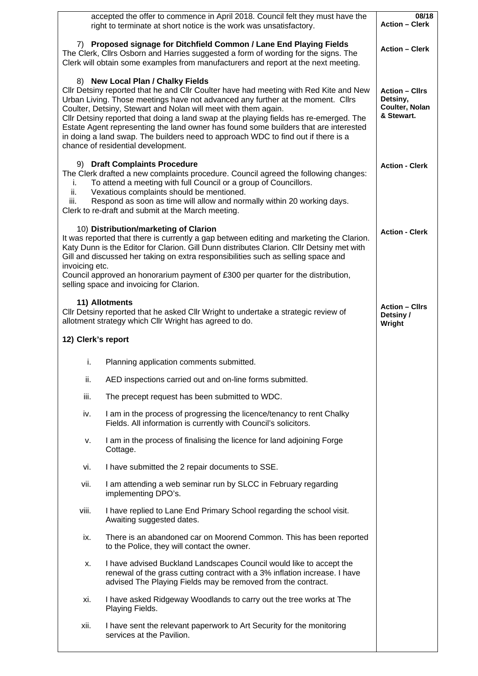| right to terminate at short notice is the work was unsatisfactory.                                                                                                                                                                                                                                                                                                                                                                                                                                                                                                                           | 08/18<br><b>Action - Clerk</b>                                                                                                                                                                                                                                                                                                                                                                          |                                              |
|----------------------------------------------------------------------------------------------------------------------------------------------------------------------------------------------------------------------------------------------------------------------------------------------------------------------------------------------------------------------------------------------------------------------------------------------------------------------------------------------------------------------------------------------------------------------------------------------|---------------------------------------------------------------------------------------------------------------------------------------------------------------------------------------------------------------------------------------------------------------------------------------------------------------------------------------------------------------------------------------------------------|----------------------------------------------|
| 7) Proposed signage for Ditchfield Common / Lane End Playing Fields<br>The Clerk, Cllrs Osborn and Harries suggested a form of wording for the signs. The<br>Clerk will obtain some examples from manufacturers and report at the next meeting.                                                                                                                                                                                                                                                                                                                                              | <b>Action - Clerk</b>                                                                                                                                                                                                                                                                                                                                                                                   |                                              |
| 8) New Local Plan / Chalky Fields<br>CIIr Detsiny reported that he and CIIr Coulter have had meeting with Red Kite and New<br>Urban Living. Those meetings have not advanced any further at the moment. Clirs<br>Coulter, Detsiny, Stewart and Nolan will meet with them again.<br>Cllr Detsiny reported that doing a land swap at the playing fields has re-emerged. The<br>Estate Agent representing the land owner has found some builders that are interested<br>in doing a land swap. The builders need to approach WDC to find out if there is a<br>chance of residential development. | <b>Action - Cllrs</b><br>Detsiny,<br>Coulter, Nolan<br>& Stewart.                                                                                                                                                                                                                                                                                                                                       |                                              |
| i.<br>ii.<br>iii.                                                                                                                                                                                                                                                                                                                                                                                                                                                                                                                                                                            | 9) Draft Complaints Procedure<br>The Clerk drafted a new complaints procedure. Council agreed the following changes:<br>To attend a meeting with full Council or a group of Councillors.<br>Vexatious complaints should be mentioned.<br>Respond as soon as time will allow and normally within 20 working days.<br>Clerk to re-draft and submit at the March meeting.                                  | <b>Action - Clerk</b>                        |
| invoicing etc.                                                                                                                                                                                                                                                                                                                                                                                                                                                                                                                                                                               | 10) Distribution/marketing of Clarion<br>It was reported that there is currently a gap between editing and marketing the Clarion.<br>Katy Dunn is the Editor for Clarion. Gill Dunn distributes Clarion. Cllr Detsiny met with<br>Gill and discussed her taking on extra responsibilities such as selling space and<br>Council approved an honorarium payment of £300 per quarter for the distribution, | <b>Action - Clerk</b>                        |
|                                                                                                                                                                                                                                                                                                                                                                                                                                                                                                                                                                                              | selling space and invoicing for Clarion.                                                                                                                                                                                                                                                                                                                                                                |                                              |
|                                                                                                                                                                                                                                                                                                                                                                                                                                                                                                                                                                                              | 11) Allotments<br>CIIr Detsiny reported that he asked CIIr Wright to undertake a strategic review of<br>allotment strategy which Cllr Wright has agreed to do.                                                                                                                                                                                                                                          | <b>Action - Cllrs</b><br>Detsiny /<br>Wright |
| 12) Clerk's report                                                                                                                                                                                                                                                                                                                                                                                                                                                                                                                                                                           |                                                                                                                                                                                                                                                                                                                                                                                                         |                                              |
|                                                                                                                                                                                                                                                                                                                                                                                                                                                                                                                                                                                              |                                                                                                                                                                                                                                                                                                                                                                                                         |                                              |
| i.                                                                                                                                                                                                                                                                                                                                                                                                                                                                                                                                                                                           | Planning application comments submitted.                                                                                                                                                                                                                                                                                                                                                                |                                              |
| ii.                                                                                                                                                                                                                                                                                                                                                                                                                                                                                                                                                                                          | AED inspections carried out and on-line forms submitted.                                                                                                                                                                                                                                                                                                                                                |                                              |
| iii.                                                                                                                                                                                                                                                                                                                                                                                                                                                                                                                                                                                         | The precept request has been submitted to WDC.                                                                                                                                                                                                                                                                                                                                                          |                                              |
| iv.                                                                                                                                                                                                                                                                                                                                                                                                                                                                                                                                                                                          | I am in the process of progressing the licence/tenancy to rent Chalky<br>Fields. All information is currently with Council's solicitors.                                                                                                                                                                                                                                                                |                                              |
| ν.                                                                                                                                                                                                                                                                                                                                                                                                                                                                                                                                                                                           | I am in the process of finalising the licence for land adjoining Forge<br>Cottage.                                                                                                                                                                                                                                                                                                                      |                                              |
| vi.                                                                                                                                                                                                                                                                                                                                                                                                                                                                                                                                                                                          | I have submitted the 2 repair documents to SSE.                                                                                                                                                                                                                                                                                                                                                         |                                              |
| vii.                                                                                                                                                                                                                                                                                                                                                                                                                                                                                                                                                                                         | I am attending a web seminar run by SLCC in February regarding<br>implementing DPO's.                                                                                                                                                                                                                                                                                                                   |                                              |
| viii.                                                                                                                                                                                                                                                                                                                                                                                                                                                                                                                                                                                        | I have replied to Lane End Primary School regarding the school visit.<br>Awaiting suggested dates.                                                                                                                                                                                                                                                                                                      |                                              |
| ix.                                                                                                                                                                                                                                                                                                                                                                                                                                                                                                                                                                                          | There is an abandoned car on Moorend Common. This has been reported<br>to the Police, they will contact the owner.                                                                                                                                                                                                                                                                                      |                                              |
| х.                                                                                                                                                                                                                                                                                                                                                                                                                                                                                                                                                                                           | I have advised Buckland Landscapes Council would like to accept the<br>renewal of the grass cutting contract with a 3% inflation increase. I have<br>advised The Playing Fields may be removed from the contract.                                                                                                                                                                                       |                                              |
| xi.                                                                                                                                                                                                                                                                                                                                                                                                                                                                                                                                                                                          | I have asked Ridgeway Woodlands to carry out the tree works at The<br>Playing Fields.                                                                                                                                                                                                                                                                                                                   |                                              |
| xii.                                                                                                                                                                                                                                                                                                                                                                                                                                                                                                                                                                                         | I have sent the relevant paperwork to Art Security for the monitoring<br>services at the Pavilion.                                                                                                                                                                                                                                                                                                      |                                              |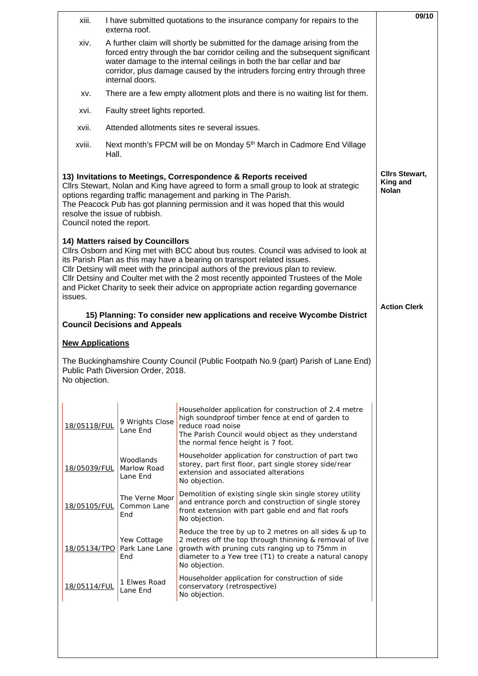| xiii.                     | externa roof.                                                                                                                                                                                                                                                                                                                     | I have submitted quotations to the insurance company for repairs to the                                                                                                                                                                                                                                                                                                                                                           | 09/10                                                    |  |
|---------------------------|-----------------------------------------------------------------------------------------------------------------------------------------------------------------------------------------------------------------------------------------------------------------------------------------------------------------------------------|-----------------------------------------------------------------------------------------------------------------------------------------------------------------------------------------------------------------------------------------------------------------------------------------------------------------------------------------------------------------------------------------------------------------------------------|----------------------------------------------------------|--|
| xiv.                      | A further claim will shortly be submitted for the damage arising from the<br>forced entry through the bar corridor ceiling and the subsequent significant<br>water damage to the internal ceilings in both the bar cellar and bar<br>corridor, plus damage caused by the intruders forcing entry through three<br>internal doors. |                                                                                                                                                                                                                                                                                                                                                                                                                                   |                                                          |  |
| XV.                       | There are a few empty allotment plots and there is no waiting list for them.                                                                                                                                                                                                                                                      |                                                                                                                                                                                                                                                                                                                                                                                                                                   |                                                          |  |
| xvi.                      | Faulty street lights reported.                                                                                                                                                                                                                                                                                                    |                                                                                                                                                                                                                                                                                                                                                                                                                                   |                                                          |  |
| xvii.                     | Attended allotments sites re several issues.                                                                                                                                                                                                                                                                                      |                                                                                                                                                                                                                                                                                                                                                                                                                                   |                                                          |  |
| xviii.                    | Hall.                                                                                                                                                                                                                                                                                                                             | Next month's FPCM will be on Monday 5 <sup>th</sup> March in Cadmore End Village                                                                                                                                                                                                                                                                                                                                                  |                                                          |  |
| Council noted the report. | resolve the issue of rubbish.                                                                                                                                                                                                                                                                                                     | 13) Invitations to Meetings, Correspondence & Reports received<br>Cllrs Stewart, Nolan and King have agreed to form a small group to look at strategic<br>options regarding traffic management and parking in The Parish.<br>The Peacock Pub has got planning permission and it was hoped that this would                                                                                                                         | <b>Clirs Stewart,</b><br><b>King and</b><br><b>Nolan</b> |  |
| issues.                   | 14) Matters raised by Councillors                                                                                                                                                                                                                                                                                                 | Cllrs Osborn and King met with BCC about bus routes. Council was advised to look at<br>its Parish Plan as this may have a bearing on transport related issues.<br>Cllr Detsiny will meet with the principal authors of the previous plan to review.<br>CIIr Detsiny and Coulter met with the 2 most recently appointed Trustees of the Mole<br>and Picket Charity to seek their advice on appropriate action regarding governance |                                                          |  |
|                           | <b>Council Decisions and Appeals</b>                                                                                                                                                                                                                                                                                              | 15) Planning: To consider new applications and receive Wycombe District                                                                                                                                                                                                                                                                                                                                                           | <b>Action Clerk</b>                                      |  |
| <b>New Applications</b>   |                                                                                                                                                                                                                                                                                                                                   |                                                                                                                                                                                                                                                                                                                                                                                                                                   |                                                          |  |
| No objection.             | Public Path Diversion Order, 2018.                                                                                                                                                                                                                                                                                                | The Buckinghamshire County Council (Public Footpath No.9 (part) Parish of Lane End)                                                                                                                                                                                                                                                                                                                                               |                                                          |  |
| 18/05118/FUL              | 9 Wrights Close<br>Lane End                                                                                                                                                                                                                                                                                                       | Householder application for construction of 2.4 metre<br>high soundproof timber fence at end of garden to<br>reduce road noise<br>The Parish Council would object as they understand<br>the normal fence height is 7 foot.                                                                                                                                                                                                        |                                                          |  |
| 18/05039/FUL              | Woodlands<br>Marlow Road<br>Lane End                                                                                                                                                                                                                                                                                              | Householder application for construction of part two<br>storey, part first floor, part single storey side/rear<br>extension and associated alterations<br>No objection.                                                                                                                                                                                                                                                           |                                                          |  |
| 18/05105/FUL              | The Verne Moor<br>Common Lane<br>End                                                                                                                                                                                                                                                                                              | Demolition of existing single skin single storey utility<br>and entrance porch and construction of single storey<br>front extension with part gable end and flat roofs<br>No objection.                                                                                                                                                                                                                                           |                                                          |  |
| 18/05134/TPO              | Yew Cottage<br>Park Lane Lane<br>End                                                                                                                                                                                                                                                                                              | Reduce the tree by up to 2 metres on all sides & up to<br>2 metres off the top through thinning & removal of live<br>growth with pruning cuts ranging up to 75mm in<br>diameter to a Yew tree (T1) to create a natural canopy<br>No objection.                                                                                                                                                                                    |                                                          |  |
| 18/05114/FUL              | 1 Elwes Road<br>Lane End                                                                                                                                                                                                                                                                                                          | Householder application for construction of side<br>conservatory (retrospective)<br>No objection.                                                                                                                                                                                                                                                                                                                                 |                                                          |  |
|                           |                                                                                                                                                                                                                                                                                                                                   |                                                                                                                                                                                                                                                                                                                                                                                                                                   |                                                          |  |
|                           |                                                                                                                                                                                                                                                                                                                                   |                                                                                                                                                                                                                                                                                                                                                                                                                                   |                                                          |  |
|                           |                                                                                                                                                                                                                                                                                                                                   |                                                                                                                                                                                                                                                                                                                                                                                                                                   |                                                          |  |